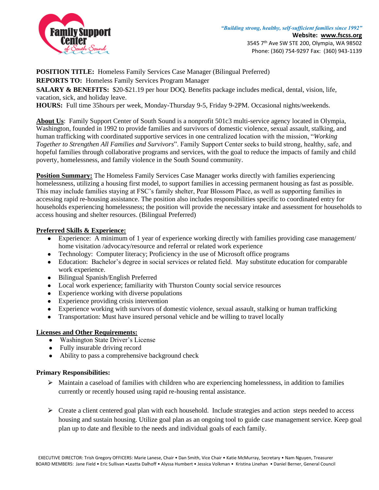

**POSITION TITLE:** Homeless Family Services Case Manager (Bilingual Preferred)

**REPORTS TO:** Homeless Family Services Program Manager

**SALARY & BENEFITS:** \$20-\$21.19 per hour DOQ. Benefits package includes medical, dental, vision, life, vacation, sick, and holiday leave.

**HOURS:** Full time 35hours per week, Monday-Thursday 9-5, Friday 9-2PM. Occasional nights/weekends.

**About Us**: Family Support Center of South Sound is a nonprofit 501c3 multi-service agency located in Olympia, Washington, founded in 1992 to provide families and survivors of domestic violence, sexual assault, stalking, and human trafficking with coordinated supportive services in one centralized location with the mission, "*Working Together to Strengthen All Families and Survivors*". Family Support Center seeks to build strong, healthy, safe, and hopeful families through collaborative programs and services, with the goal to reduce the impacts of family and child poverty, homelessness, and family violence in the South Sound community.

**Position Summary:** The Homeless Family Services Case Manager works directly with families experiencing homelessness, utilizing a housing first model, to support families in accessing permanent housing as fast as possible. This may include families staying at FSC's family shelter, Pear Blossom Place, as well as supporting families in accessing rapid re-housing assistance. The position also includes responsibilities specific to coordinated entry for households experiencing homelessness; the position will provide the necessary intake and assessment for households to access housing and shelter resources. (Bilingual Preferred)

## **Preferred Skills & Experience:**

- Experience: A minimum of 1 year of experience working directly with families providing case management/ home visitation /advocacy/resource and referral or related work experience
- Technology: Computer literacy: Proficiency in the use of Microsoft office programs
- Education: Bachelor's degree in social services or related field. May substitute education for comparable work experience.
- Bilingual Spanish/English Preferred
- Local work experience; familiarity with Thurston County social service resources
- Experience working with diverse populations
- Experience providing crisis intervention
- Experience working with survivors of domestic violence, sexual assault, stalking or human trafficking
- Transportation: Must have insured personal vehicle and be willing to travel locally

## **Licenses and Other Requirements:**

- Washington State Driver's License
- Fully insurable driving record
- Ability to pass a comprehensive background check

## **Primary Responsibilities:**

- $\triangleright$  Maintain a caseload of families with children who are experiencing homelessness, in addition to families currently or recently housed using rapid re-housing rental assistance.
- $\triangleright$  Create a client centered goal plan with each household. Include strategies and action steps needed to access housing and sustain housing. Utilize goal plan as an ongoing tool to guide case management service. Keep goal plan up to date and flexible to the needs and individual goals of each family.